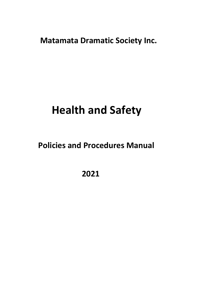**Matamata Dramatic Society Inc.** 

# **Health and Safety**

# **Policies and Procedures Manual**

 **2021**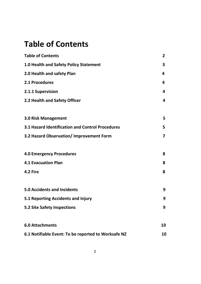# **Table of Contents**

| <b>Table of Contents</b>                            | 2  |
|-----------------------------------------------------|----|
| 1.0 Health and Safety Policy Statement              | 3  |
| 2.0 Health and safety Plan                          | 4  |
| 2.1 Procedures                                      | 4  |
| 2.1.1 Supervision                                   | 4  |
| 2.2 Health and Safety Officer                       | 4  |
|                                                     |    |
| <b>3.0 Risk Management</b>                          | 5  |
| 3.1 Hazard Identification and Control Procedures    | 5  |
| 3.2 Hazard Observation/ Improvement Form            | 7  |
|                                                     |    |
| <b>4.0 Emergency Procedures</b>                     | 8  |
| <b>4.1 Evacuation Plan</b>                          | 8  |
| 4.2 Fire                                            | 8  |
|                                                     |    |
| <b>5.0 Accidents and Incidents</b>                  | 9  |
| 5.1 Reporting Accidents and Injury                  | 9  |
| <b>5.2 Site Safety Inspections</b>                  | 9  |
| <b>6.0 Attachments</b>                              | 10 |
|                                                     |    |
| 6.1 Notifiable Event: To be reported to Worksafe NZ | 10 |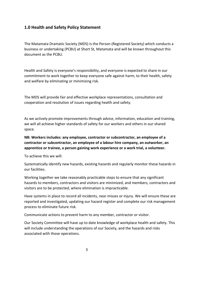#### **1.0 Health and Safety Policy Statement**

The Matamata Dramatic Society (MDS) is the Person (Registered Society) which conducts a business or undertaking (PCBU) at Short St, Matamata and will be known throughout this document as the PCBU.

Health and Safety is everyone's responsibility, and everyone is expected to share in our commitment to work together to keep everyone safe against harm, to their health, safety and welfare by eliminating or minimizing risk.

The MDS will provide fair and effective workplace representations, consultation and cooperation and resolution of issues regarding health and safety.

As we actively promote improvements through advice, information, education and training, we will all achieve higher standards of safety for our workers and others in our shared space.

#### **NB: Workers includes: any employee, contractor or subcontractor, an employee of a contractor or subcontractor, an employee of a labour hire company, an outworker, an apprentice or trainee, a person gaining work experience or a work trial, a volunteer.**

To achieve this we will:

Systematically identify new hazards, existing hazards and regularly monitor these hazards in our facilities.

Working together we take reasonably practicable steps to ensure that any significant hazards to members, contractors and visitors are minimized, and members, contractors and visitors are to be protected, where elimination is impracticable.

Have systems in place to record all incidents, near misses or injury. We will ensure these are reported and investigated, updating our hazard register and complete our risk management process to eliminate future risk.

Communicate actions to prevent harm to any member, contractor or visitor.

Our Society Committee will have up to date knowledge of workplace health and safety. This will include understanding the operations of our Society, and the hazards and risks associated with those operations.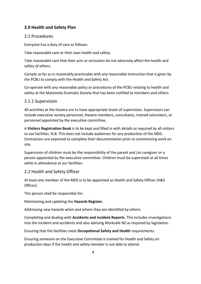# **2.0 Health and Safety Plan**

### 2.1 Procedures

Everyone has a duty of care as follows:

Take reasonable care or their own health and safety.

Take reasonable care that their acts or omissions do not adversely affect the health and safety of others.

Comply so far as is reasonably practicable with any reasonable instruction that is given by the PCBU to comply with the Health and Safety Act.

Co-operate with any reasonable policy or procedures of the PCBU relating to health and safety at the Matamata Dramatic Society that has been notified to members and others.

### 2.1.1 Supervision

All activities at the theatre are to have appropriate levels of supervision. Supervisors can include executive society personnel, theatre members, consultants, trained volunteers, or personnel appointed by the executive committee.

A **Visitors Registration Book** is to be kept and filled in with details as required by all visitors to our facilities. N.B. This does not include audiences for any production of the MDS. Contractors are expected to complete their documentation prior to commencing work on site.

Supervision of children must be the responsibility of the parent and /or caregiver or a person appointed by the executive committee. Children must be supervised at all times while in attendance at our facilities.

# 2.2 Health and Safety Officer

At least one member of the MDS is to be appointed as Health and Safety Officer (H&S Officer).

This person shall be responsible for:

Maintaining and updating the **Hazards Register.** 

Addressing new hazards when and where they are identified by others.

Completing and dealing with **Accidents and incident Reports.** This includes investigations into the incident and accidents and also advising Worksafe NZ as required by legislation.

Ensuring that the facilities meet **Occupational Safety and Health** requirements.

Ensuring someone on the Executive Committee is trained for Health and Safety on production days if the health and safety member is not able to attend.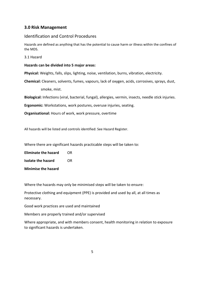#### **3.0 Risk Management**

#### Identification and Control Procedures

Hazards are defined as anything that has the potential to cause harm or illness within the confines of the MDS.

3.1 Hazard

#### **Hazards can be divided into 5 major areas:**

**Physical:** Weights, falls, slips, lighting, noise, ventilation, burns, vibration, electricity.

**Chemical:** Cleaners, solvents, fumes, vapours, lack of oxygen, acids, corrosives, sprays, dust,

smoke, mist.

**Biological:** Infections (viral, bacterial, fungal), allergies, vermin, insects, needle stick injuries.

**Ergonomic:** Workstations, work postures, overuse injuries, seating.

**Organisational:** Hours of work, work pressure, overtime

All hazards will be listed and controls identified: See Hazard Register.

Where there are significant hazards practicable steps will be taken to:

**Eliminate the hazard** OR

**Isolate the hazard OR** 

**Minimise the hazard** 

Where the hazards may only be minimised steps will be taken to ensure:

Protective clothing and equipment (PPE) is provided and used by all, at all times as necessary.

Good work practices are used and maintained

Members are properly trained and/or supervised

Where appropriate, and with members consent, health monitoring in relation to exposure to significant hazards is undertaken.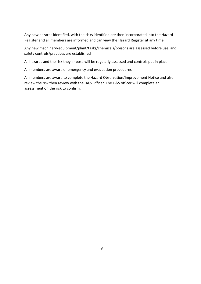Any new hazards identified, with the risks identified are then incorporated into the Hazard Register and all members are informed and can view the Hazard Register at any time

Any new machinery/equipment/plant/tasks/chemicals/poisons are assessed before use, and safety controls/practices are established

All hazards and the risk they impose will be regularly assessed and controls put in place

All members are aware of emergency and evacuation procedures

All members are aware to complete the Hazard Observation/Improvement Notice and also review the risk then review with the H&S Officer. The H&S officer will complete an assessment on the risk to confirm.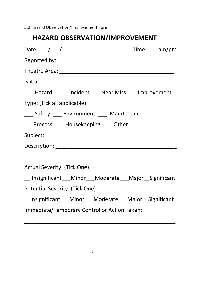3.2 Hazard Observation/Improvement Form

# **HAZARD OBSERVATION/IMPROVEMENT**

| Date: $\angle$                                           | Time: $\_\_\_$ am/pm |
|----------------------------------------------------------|----------------------|
|                                                          |                      |
|                                                          |                      |
| Is it a:                                                 |                      |
| ___ Hazard ____ Incident ___ Near Miss ___ Improvement   |                      |
| Type: (Tick all applicable)                              |                      |
| ___ Safety ___ Environment ___ Maintenance               |                      |
| <b>Example 2 Frocess</b> Electron Housekeeping Other     |                      |
|                                                          |                      |
|                                                          |                      |
|                                                          |                      |
| Actual Severity: (Tick One)                              |                      |
| __ Insignificant___Minor___Moderate___Major__Significant |                      |
| Potential Severity: (Tick One)                           |                      |
| __Insignificant___Minor___Moderate___Major__Significant  |                      |
| Immediate/Temporary Control or Action Taken:             |                      |

\_\_\_\_\_\_\_\_\_\_\_\_\_\_\_\_\_\_\_\_\_\_\_\_\_\_\_\_\_\_\_\_\_\_\_\_\_\_\_\_\_\_\_\_\_\_\_\_\_\_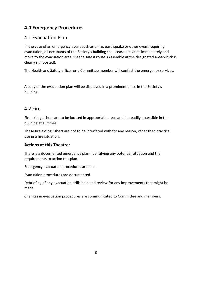# **4.0 Emergency Procedures**

# 4.1 Evacuation Plan

In the case of an emergency event such as a fire, earthquake or other event requiring evacuation, all occupants of the Society's building shall cease activities immediately and move to the evacuation area, via the safest route. (Assemble at the designated area-which is clearly signposted).

The Health and Safety officer or a Committee member will contact the emergency services.

A copy of the evacuation plan will be displayed in a prominent place in the Society's building.

# 4.2 Fire

Fire extinguishers are to be located in appropriate areas and be readily accessible in the building at all times

These fire extinguishers are not to be interfered with for any reason, other than practical use in a fire situation.

# **Actions at this Theatre:**

There is a documented emergency plan- identifying any potential situation and the requirements to action this plan.

Emergency evacuation procedures are held.

Evacuation procedures are documented.

Debriefing of any evacuation drills held and review for any improvements that might be made.

Changes in evacuation procedures are communicated to Committee and members.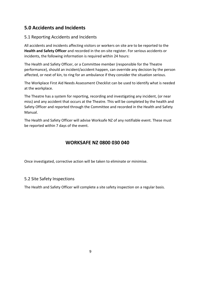# **5.0 Accidents and Incidents**

# 5.1 Reporting Accidents and Incidents

All accidents and incidents affecting visitors or workers on site are to be reported to the **Health and Safety Officer** and recorded in the on-site register. For serious accidents or incidents, the following information is required within 24 hours:

The Health and Safety Officer, or a Committee member (responsible for the Theatre performance), should an incident/accident happen, can override any decision by the person affected, or next of kin, to ring for an ambulance if they consider the situation serious.

The Workplace First Aid Needs Assessment Checklist can be used to identify what is needed at the workplace.

The Theatre has a system for reporting, recording and investigating any incident, (or near miss) and any accident that occurs at the Theatre. This will be completed by the health and Safety Officer and reported through the Committee and recorded in the Health and Safety Manual.

The Health and Safety Officer will advise Worksafe NZ of any notifiable event. These must be reported within 7 days of the event.

# **WORKSAFE NZ 0800 030 040**

Once investigated, corrective action will be taken to eliminate or minimise.

#### 5.2 Site Safety Inspections

The Health and Safety Officer will complete a site safety inspection on a regular basis.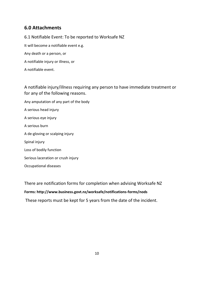# **6.0 Attachments**

6.1 Notifiable Event: To be reported to Worksafe NZ It will become a notifiable event e.g. Any death or a person, or A notifiable injury or illness, or

A notifiable event.

A notifiable injury/illness requiring any person to have immediate treatment or for any of the following reasons.

- Any amputation of any part of the body A serious head injury A serious eye injury A serious burn A de-gloving or scalping injury Spinal injury Loss of bodily function Serious laceration or crush injury
- Occupational diseases

There are notification forms for completion when advising Worksafe NZ **Forms: http://www.business.govt.nz/worksafe/notifications-forms/nods**  These reports must be kept for 5 years from the date of the incident.